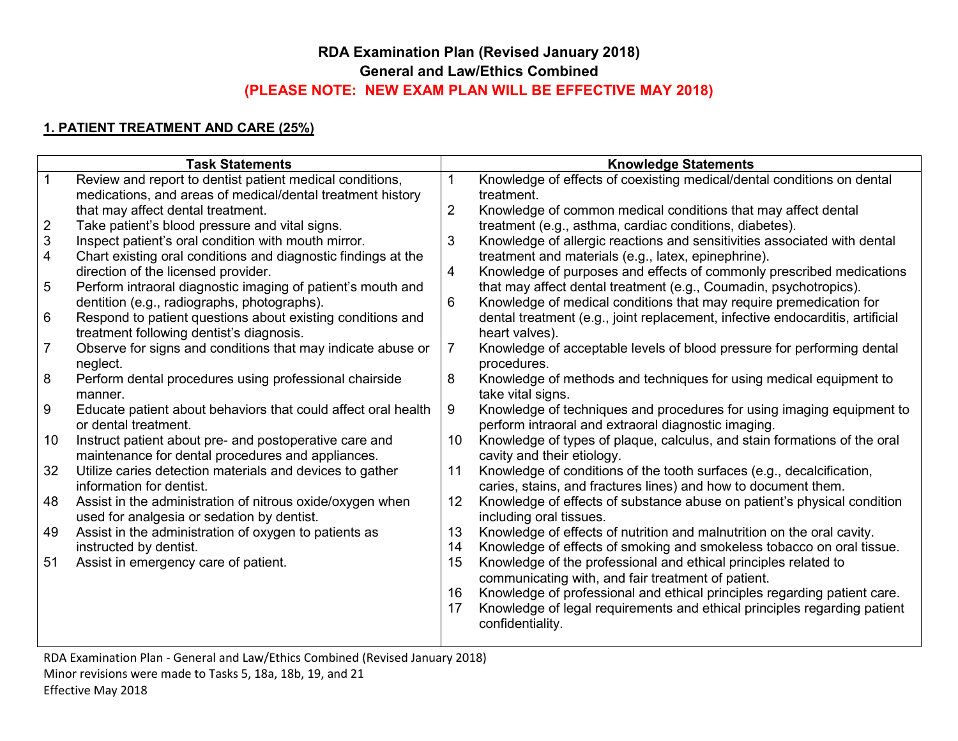# **RDA Examination Plan (Revised January 2018)**

**General and Law/Ethics Combined** 

# **(PLEASE NOTE: NEW EXAM PLAN WILL BE EFFECTIVE MAY 2018)**

## **1. PATIENT TREATMENT AND CARE (25%)**

| <b>Task Statements</b>                     |                                                                                                             | <b>Knowledge Statements</b> |                                                                                                                                         |  |
|--------------------------------------------|-------------------------------------------------------------------------------------------------------------|-----------------------------|-----------------------------------------------------------------------------------------------------------------------------------------|--|
| -1                                         | Review and report to dentist patient medical conditions,                                                    | 1                           | Knowledge of effects of coexisting medical/dental conditions on dental                                                                  |  |
|                                            | medications, and areas of medical/dental treatment history                                                  |                             | treatment.                                                                                                                              |  |
|                                            | that may affect dental treatment.                                                                           | $\overline{2}$              | Knowledge of common medical conditions that may affect dental                                                                           |  |
|                                            | Take patient's blood pressure and vital signs.                                                              |                             | treatment (e.g., asthma, cardiac conditions, diabetes).                                                                                 |  |
| $\begin{array}{c} 2 \\ 3 \\ 4 \end{array}$ | Inspect patient's oral condition with mouth mirror.                                                         | 3                           | Knowledge of allergic reactions and sensitivities associated with dental                                                                |  |
|                                            | Chart existing oral conditions and diagnostic findings at the                                               |                             | treatment and materials (e.g., latex, epinephrine).                                                                                     |  |
|                                            | direction of the licensed provider.                                                                         | 4                           | Knowledge of purposes and effects of commonly prescribed medications                                                                    |  |
| 5                                          | Perform intraoral diagnostic imaging of patient's mouth and                                                 |                             | that may affect dental treatment (e.g., Coumadin, psychotropics).                                                                       |  |
|                                            | dentition (e.g., radiographs, photographs).                                                                 | 6                           | Knowledge of medical conditions that may require premedication for                                                                      |  |
| 6                                          | Respond to patient questions about existing conditions and<br>treatment following dentist's diagnosis.      |                             | dental treatment (e.g., joint replacement, infective endocarditis, artificial<br>heart valves).                                         |  |
| $\overline{7}$                             | Observe for signs and conditions that may indicate abuse or                                                 | $\overline{7}$              | Knowledge of acceptable levels of blood pressure for performing dental                                                                  |  |
|                                            | neglect.                                                                                                    |                             | procedures.                                                                                                                             |  |
| 8                                          | Perform dental procedures using professional chairside                                                      | 8                           | Knowledge of methods and techniques for using medical equipment to                                                                      |  |
|                                            | manner.                                                                                                     |                             | take vital signs.                                                                                                                       |  |
| 9                                          | Educate patient about behaviors that could affect oral health<br>or dental treatment.                       | 9                           | Knowledge of techniques and procedures for using imaging equipment to<br>perform intraoral and extraoral diagnostic imaging.            |  |
| 10                                         | Instruct patient about pre- and postoperative care and<br>maintenance for dental procedures and appliances. | 10                          | Knowledge of types of plaque, calculus, and stain formations of the oral<br>cavity and their etiology.                                  |  |
| 32                                         | Utilize caries detection materials and devices to gather<br>information for dentist.                        | 11                          | Knowledge of conditions of the tooth surfaces (e.g., decalcification,<br>caries, stains, and fractures lines) and how to document them. |  |
| 48                                         | Assist in the administration of nitrous oxide/oxygen when                                                   | 12                          | Knowledge of effects of substance abuse on patient's physical condition                                                                 |  |
|                                            | used for analgesia or sedation by dentist.                                                                  |                             | including oral tissues.                                                                                                                 |  |
| 49                                         | Assist in the administration of oxygen to patients as                                                       | 13                          | Knowledge of effects of nutrition and malnutrition on the oral cavity.                                                                  |  |
|                                            | instructed by dentist.                                                                                      | 14                          | Knowledge of effects of smoking and smokeless tobacco on oral tissue.                                                                   |  |
| 51                                         | Assist in emergency care of patient.                                                                        | 15                          | Knowledge of the professional and ethical principles related to                                                                         |  |
|                                            |                                                                                                             |                             | communicating with, and fair treatment of patient.                                                                                      |  |
|                                            |                                                                                                             | 16                          | Knowledge of professional and ethical principles regarding patient care.                                                                |  |
|                                            |                                                                                                             | 17                          | Knowledge of legal requirements and ethical principles regarding patient<br>confidentiality.                                            |  |
|                                            |                                                                                                             |                             |                                                                                                                                         |  |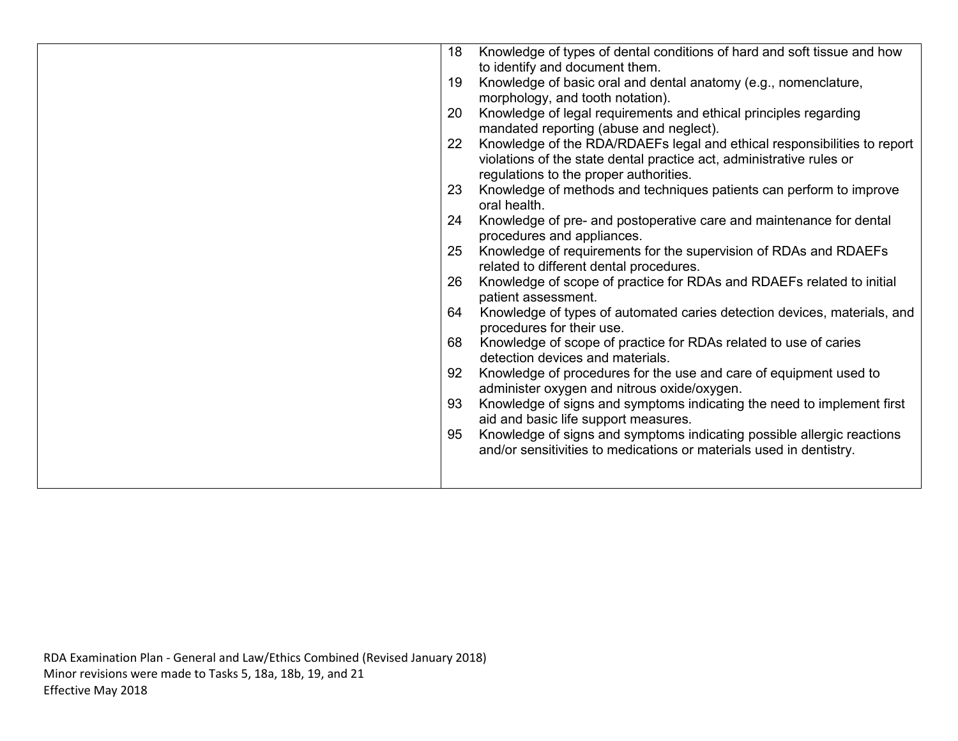| 18 | Knowledge of types of dental conditions of hard and soft tissue and how                               |
|----|-------------------------------------------------------------------------------------------------------|
|    | to identify and document them.                                                                        |
| 19 | Knowledge of basic oral and dental anatomy (e.g., nomenclature,                                       |
|    | morphology, and tooth notation).                                                                      |
| 20 | Knowledge of legal requirements and ethical principles regarding                                      |
|    | mandated reporting (abuse and neglect).                                                               |
| 22 | Knowledge of the RDA/RDAEFs legal and ethical responsibilities to report                              |
|    | violations of the state dental practice act, administrative rules or                                  |
|    | regulations to the proper authorities.                                                                |
| 23 | Knowledge of methods and techniques patients can perform to improve                                   |
|    | oral health.                                                                                          |
| 24 | Knowledge of pre- and postoperative care and maintenance for dental                                   |
|    | procedures and appliances.                                                                            |
| 25 | Knowledge of requirements for the supervision of RDAs and RDAEFs                                      |
|    | related to different dental procedures.                                                               |
| 26 | Knowledge of scope of practice for RDAs and RDAEFs related to initial                                 |
| 64 | patient assessment.                                                                                   |
|    | Knowledge of types of automated caries detection devices, materials, and<br>procedures for their use. |
| 68 | Knowledge of scope of practice for RDAs related to use of caries                                      |
|    | detection devices and materials.                                                                      |
| 92 | Knowledge of procedures for the use and care of equipment used to                                     |
|    | administer oxygen and nitrous oxide/oxygen.                                                           |
| 93 | Knowledge of signs and symptoms indicating the need to implement first                                |
|    | aid and basic life support measures.                                                                  |
| 95 | Knowledge of signs and symptoms indicating possible allergic reactions                                |
|    | and/or sensitivities to medications or materials used in dentistry.                                   |
|    |                                                                                                       |
|    |                                                                                                       |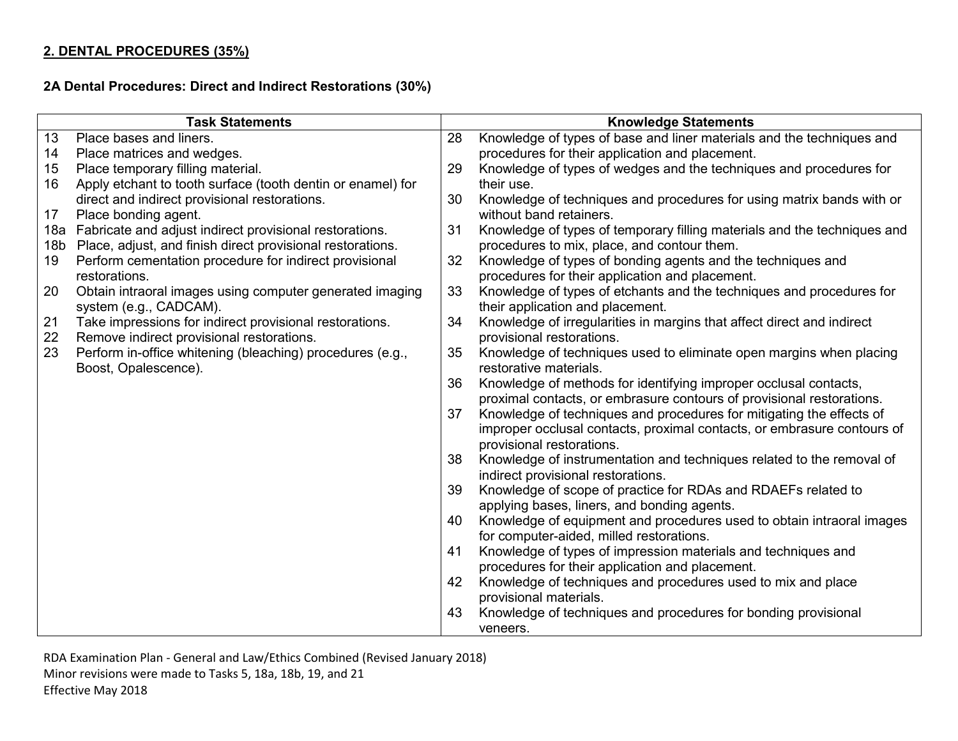# **2. DENTAL PROCEDURES (35%)**

#### **2A Dental Procedures: Direct and Indirect Restorations (30%)**

| <b>Task Statements</b> |                                                             |    | <b>Knowledge Statements</b>                                                                          |  |  |
|------------------------|-------------------------------------------------------------|----|------------------------------------------------------------------------------------------------------|--|--|
| 13                     | Place bases and liners.                                     | 28 | Knowledge of types of base and liner materials and the techniques and                                |  |  |
| 14                     | Place matrices and wedges.                                  |    | procedures for their application and placement.                                                      |  |  |
| 15                     | Place temporary filling material.                           | 29 | Knowledge of types of wedges and the techniques and procedures for                                   |  |  |
| 16                     | Apply etchant to tooth surface (tooth dentin or enamel) for |    | their use.                                                                                           |  |  |
|                        | direct and indirect provisional restorations.               | 30 | Knowledge of techniques and procedures for using matrix bands with or                                |  |  |
| 17                     | Place bonding agent.                                        |    | without band retainers.                                                                              |  |  |
|                        | 18a Fabricate and adjust indirect provisional restorations. | 31 | Knowledge of types of temporary filling materials and the techniques and                             |  |  |
| 18b                    | Place, adjust, and finish direct provisional restorations.  |    | procedures to mix, place, and contour them.                                                          |  |  |
| 19                     | Perform cementation procedure for indirect provisional      | 32 | Knowledge of types of bonding agents and the techniques and                                          |  |  |
|                        | restorations.                                               |    | procedures for their application and placement.                                                      |  |  |
| 20                     | Obtain intraoral images using computer generated imaging    | 33 | Knowledge of types of etchants and the techniques and procedures for                                 |  |  |
|                        | system (e.g., CADCAM).                                      |    | their application and placement.                                                                     |  |  |
| 21                     | Take impressions for indirect provisional restorations.     | 34 | Knowledge of irregularities in margins that affect direct and indirect                               |  |  |
| 22                     | Remove indirect provisional restorations.                   |    | provisional restorations.                                                                            |  |  |
| 23                     | Perform in-office whitening (bleaching) procedures (e.g.,   | 35 | Knowledge of techniques used to eliminate open margins when placing                                  |  |  |
|                        | Boost, Opalescence).                                        |    | restorative materials.                                                                               |  |  |
|                        |                                                             | 36 | Knowledge of methods for identifying improper occlusal contacts,                                     |  |  |
|                        |                                                             |    | proximal contacts, or embrasure contours of provisional restorations.                                |  |  |
|                        |                                                             | 37 | Knowledge of techniques and procedures for mitigating the effects of                                 |  |  |
|                        |                                                             |    | improper occlusal contacts, proximal contacts, or embrasure contours of<br>provisional restorations. |  |  |
|                        |                                                             | 38 | Knowledge of instrumentation and techniques related to the removal of                                |  |  |
|                        |                                                             |    | indirect provisional restorations.                                                                   |  |  |
|                        |                                                             | 39 | Knowledge of scope of practice for RDAs and RDAEFs related to                                        |  |  |
|                        |                                                             |    | applying bases, liners, and bonding agents.                                                          |  |  |
|                        |                                                             | 40 | Knowledge of equipment and procedures used to obtain intraoral images                                |  |  |
|                        |                                                             |    | for computer-aided, milled restorations.                                                             |  |  |
|                        |                                                             | 41 | Knowledge of types of impression materials and techniques and                                        |  |  |
|                        |                                                             |    | procedures for their application and placement.                                                      |  |  |
|                        |                                                             | 42 | Knowledge of techniques and procedures used to mix and place                                         |  |  |
|                        |                                                             |    | provisional materials.                                                                               |  |  |
|                        |                                                             | 43 | Knowledge of techniques and procedures for bonding provisional                                       |  |  |
|                        |                                                             |    | veneers.                                                                                             |  |  |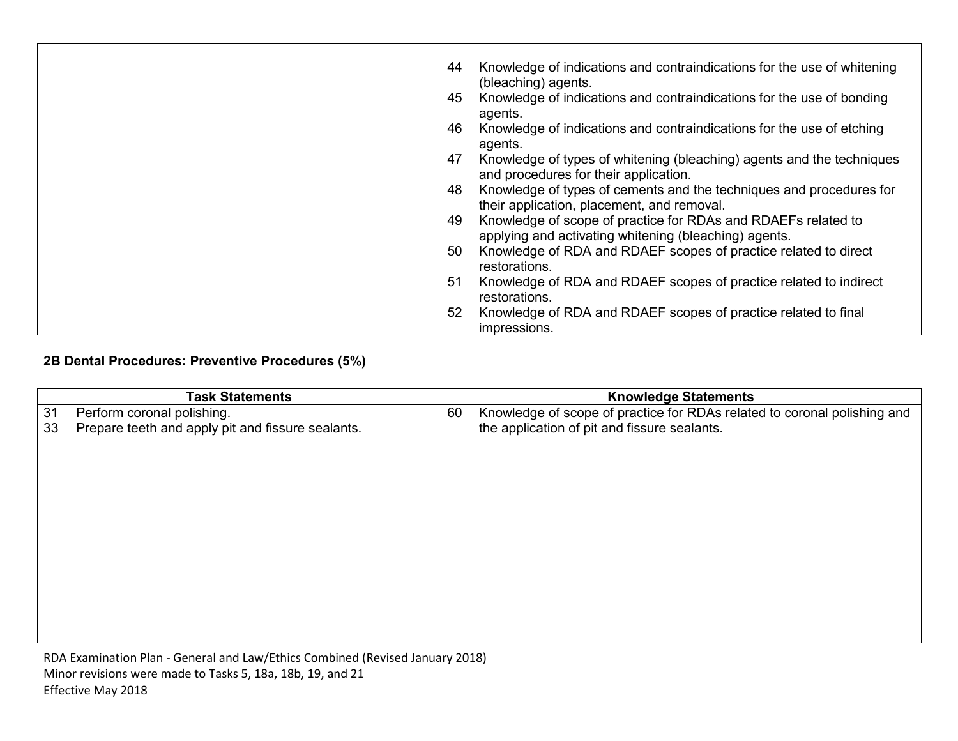| Knowledge of indications and contraindications for the use of whitening<br>44          |
|----------------------------------------------------------------------------------------|
| (bleaching) agents.                                                                    |
| Knowledge of indications and contraindications for the use of bonding<br>45<br>agents. |
| Knowledge of indications and contraindications for the use of etching<br>46            |
| agents.                                                                                |
| Knowledge of types of whitening (bleaching) agents and the techniques<br>47            |
| and procedures for their application.                                                  |
| Knowledge of types of cements and the techniques and procedures for<br>48              |
| their application, placement, and removal.                                             |
| Knowledge of scope of practice for RDAs and RDAEFs related to<br>49                    |
| applying and activating whitening (bleaching) agents.                                  |
| Knowledge of RDA and RDAEF scopes of practice related to direct<br>50                  |
| restorations.                                                                          |
| Knowledge of RDA and RDAEF scopes of practice related to indirect<br>51                |
| restorations.                                                                          |
| Knowledge of RDA and RDAEF scopes of practice related to final<br>52                   |
| impressions.                                                                           |

# **2B Dental Procedures: Preventive Procedures (5%)**

|    | <b>Task Statements</b>                            |    | <b>Knowledge Statements</b>                                              |
|----|---------------------------------------------------|----|--------------------------------------------------------------------------|
| 31 | Perform coronal polishing.                        | 60 | Knowledge of scope of practice for RDAs related to coronal polishing and |
| 33 | Prepare teeth and apply pit and fissure sealants. |    | the application of pit and fissure sealants.                             |
|    |                                                   |    |                                                                          |
|    |                                                   |    |                                                                          |
|    |                                                   |    |                                                                          |
|    |                                                   |    |                                                                          |
|    |                                                   |    |                                                                          |
|    |                                                   |    |                                                                          |
|    |                                                   |    |                                                                          |
|    |                                                   |    |                                                                          |
|    |                                                   |    |                                                                          |
|    |                                                   |    |                                                                          |
|    |                                                   |    |                                                                          |
|    |                                                   |    |                                                                          |
|    |                                                   |    |                                                                          |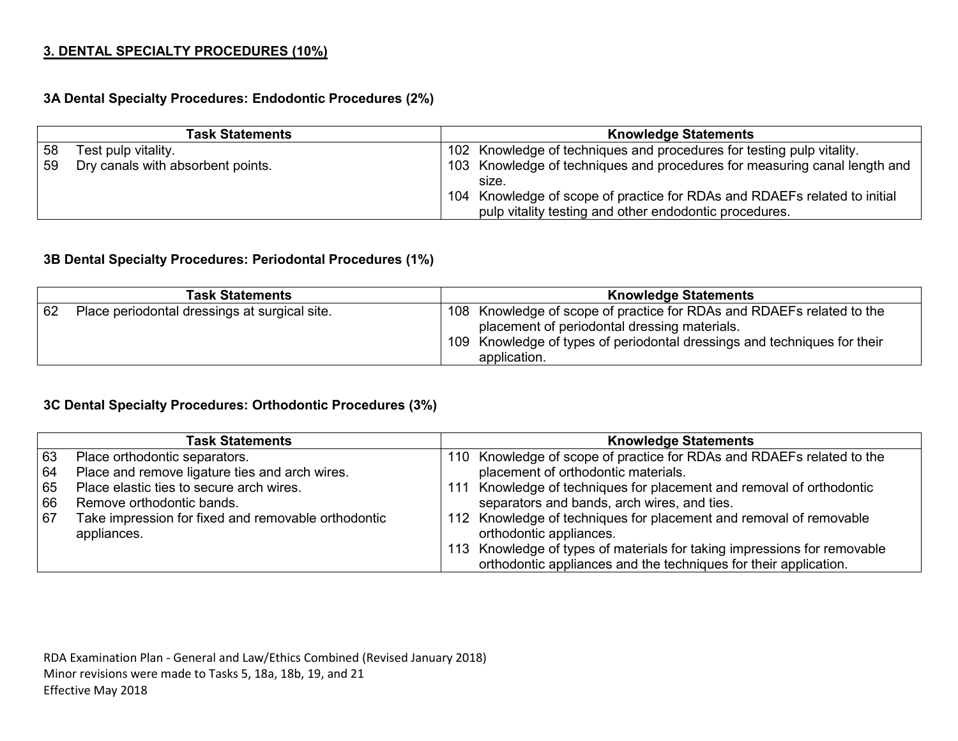# **3. DENTAL SPECIALTY PROCEDURES (10%)**

## **3A Dental Specialty Procedures: Endodontic Procedures (2%)**

|    | <b>Task Statements</b>            | <b>Knowledge Statements</b>                                                                                                         |
|----|-----------------------------------|-------------------------------------------------------------------------------------------------------------------------------------|
| 58 | Test pulp vitality.               | 102 Knowledge of techniques and procedures for testing pulp vitality.                                                               |
| 59 | Dry canals with absorbent points. | 103 Knowledge of techniques and procedures for measuring canal length and<br>size.                                                  |
|    |                                   | 104 Knowledge of scope of practice for RDAs and RDAEFs related to initial<br>pulp vitality testing and other endodontic procedures. |

#### **3B Dental Specialty Procedures: Periodontal Procedures (1%)**

|    | <b>Task Statements</b>                        | <b>Knowledge Statements</b>                                                                                                                                                                                       |
|----|-----------------------------------------------|-------------------------------------------------------------------------------------------------------------------------------------------------------------------------------------------------------------------|
| 62 | Place periodontal dressings at surgical site. | 108 Knowledge of scope of practice for RDAs and RDAEFs related to the<br>placement of periodontal dressing materials.<br>109 Knowledge of types of periodontal dressings and techniques for their<br>application. |

# **3C Dental Specialty Procedures: Orthodontic Procedures (3%)**

|    | <b>Task Statements</b>                              | <b>Knowledge Statements</b>                                              |
|----|-----------------------------------------------------|--------------------------------------------------------------------------|
| 63 | Place orthodontic separators.                       | 110 Knowledge of scope of practice for RDAs and RDAEFs related to the    |
| 64 | Place and remove ligature ties and arch wires.      | placement of orthodontic materials.                                      |
| 65 | Place elastic ties to secure arch wires.            | 111 Knowledge of techniques for placement and removal of orthodontic     |
| 66 | Remove orthodontic bands.                           | separators and bands, arch wires, and ties.                              |
| 67 | Take impression for fixed and removable orthodontic | 112 Knowledge of techniques for placement and removal of removable       |
|    | appliances.                                         | orthodontic appliances.                                                  |
|    |                                                     | 113 Knowledge of types of materials for taking impressions for removable |
|    |                                                     | orthodontic appliances and the techniques for their application.         |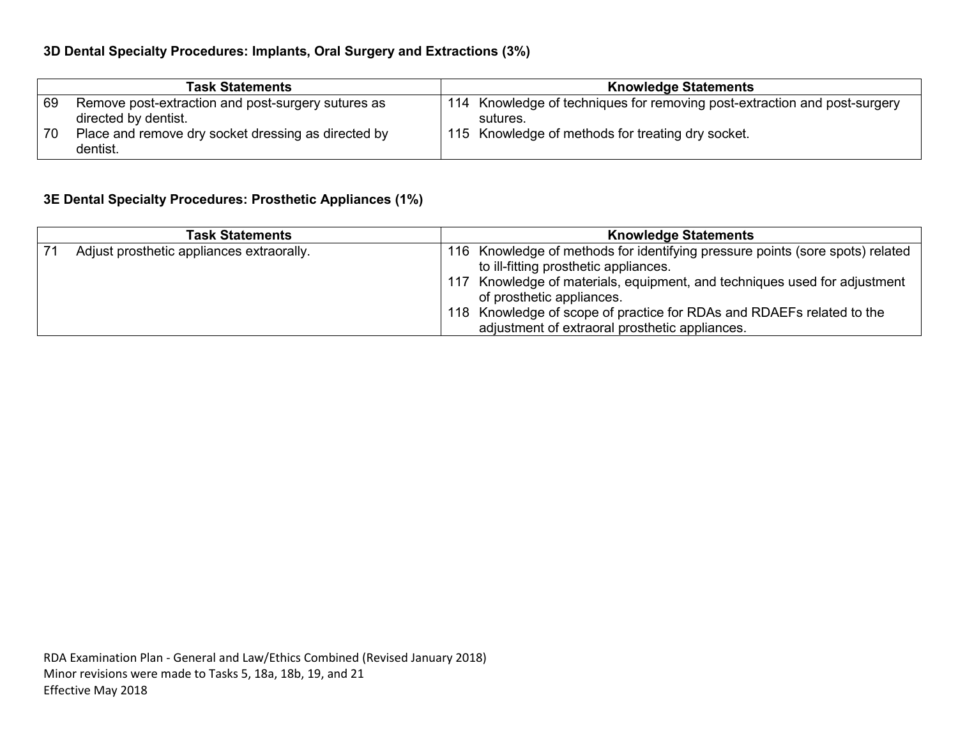# **3D Dental Specialty Procedures: Implants, Oral Surgery and Extractions (3%)**

|     | Task Statements                                                 | <b>Knowledge Statements</b>                                               |
|-----|-----------------------------------------------------------------|---------------------------------------------------------------------------|
| 69  | Remove post-extraction and post-surgery sutures as              | 114 Knowledge of techniques for removing post-extraction and post-surgery |
|     | directed by dentist.                                            | sutures.                                                                  |
| -70 | Place and remove dry socket dressing as directed by<br>dentist. | 115 Knowledge of methods for treating dry socket.                         |

### **3E Dental Specialty Procedures: Prosthetic Appliances (1%)**

| Task Statements                                   | <b>Knowledge Statements</b>                                                                                                                                                                                                                                                                                                                                 |
|---------------------------------------------------|-------------------------------------------------------------------------------------------------------------------------------------------------------------------------------------------------------------------------------------------------------------------------------------------------------------------------------------------------------------|
| - 71<br>Adjust prosthetic appliances extraorally. | 116 Knowledge of methods for identifying pressure points (sore spots) related<br>to ill-fitting prosthetic appliances.<br>117 Knowledge of materials, equipment, and techniques used for adjustment<br>of prosthetic appliances.<br>118 Knowledge of scope of practice for RDAs and RDAEFs related to the<br>adjustment of extraoral prosthetic appliances. |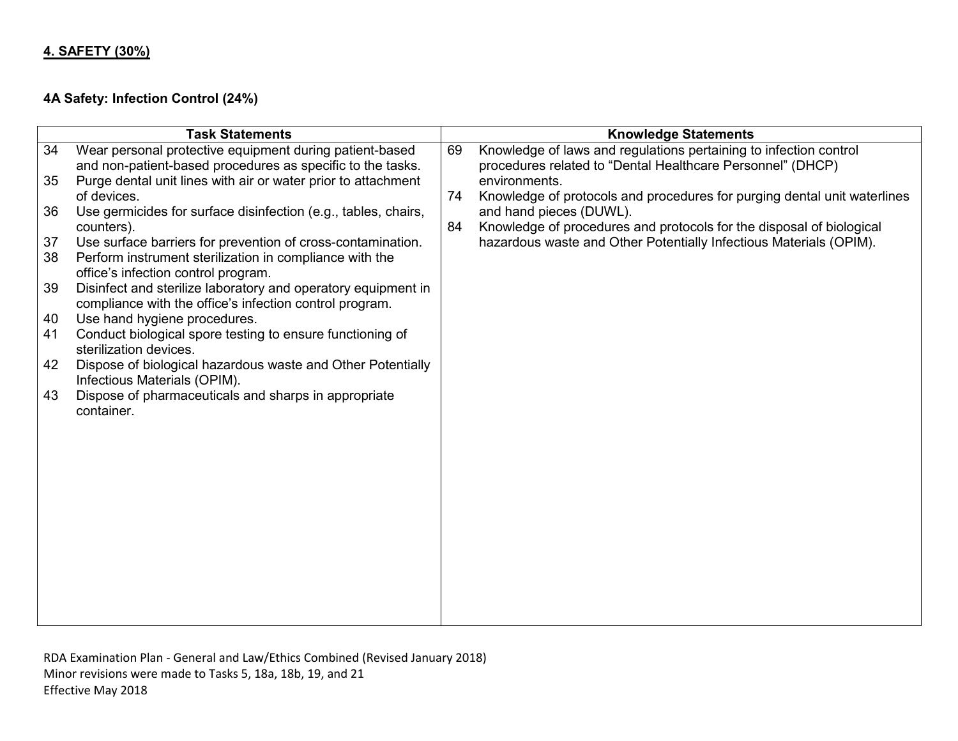# **4. SAFETY (30%)**

# **4A Safety: Infection Control (24%)**

|          | <b>Task Statements</b>                                                                    |    | <b>Knowledge Statements</b>                                              |
|----------|-------------------------------------------------------------------------------------------|----|--------------------------------------------------------------------------|
| 34       | Wear personal protective equipment during patient-based                                   | 69 | Knowledge of laws and regulations pertaining to infection control        |
|          | and non-patient-based procedures as specific to the tasks.                                |    | procedures related to "Dental Healthcare Personnel" (DHCP)               |
| 35       | Purge dental unit lines with air or water prior to attachment                             |    | environments.                                                            |
|          | of devices.                                                                               | 74 | Knowledge of protocols and procedures for purging dental unit waterlines |
| 36       | Use germicides for surface disinfection (e.g., tables, chairs,                            |    | and hand pieces (DUWL).                                                  |
|          | counters).                                                                                | 84 | Knowledge of procedures and protocols for the disposal of biological     |
| 37       | Use surface barriers for prevention of cross-contamination.                               |    | hazardous waste and Other Potentially Infectious Materials (OPIM).       |
| 38       | Perform instrument sterilization in compliance with the                                   |    |                                                                          |
|          | office's infection control program.                                                       |    |                                                                          |
| 39       | Disinfect and sterilize laboratory and operatory equipment in                             |    |                                                                          |
|          | compliance with the office's infection control program.                                   |    |                                                                          |
| 40<br>41 | Use hand hygiene procedures.<br>Conduct biological spore testing to ensure functioning of |    |                                                                          |
|          | sterilization devices.                                                                    |    |                                                                          |
| 42       | Dispose of biological hazardous waste and Other Potentially                               |    |                                                                          |
|          | Infectious Materials (OPIM).                                                              |    |                                                                          |
| 43       | Dispose of pharmaceuticals and sharps in appropriate                                      |    |                                                                          |
|          | container.                                                                                |    |                                                                          |
|          |                                                                                           |    |                                                                          |
|          |                                                                                           |    |                                                                          |
|          |                                                                                           |    |                                                                          |
|          |                                                                                           |    |                                                                          |
|          |                                                                                           |    |                                                                          |
|          |                                                                                           |    |                                                                          |
|          |                                                                                           |    |                                                                          |
|          |                                                                                           |    |                                                                          |
|          |                                                                                           |    |                                                                          |
|          |                                                                                           |    |                                                                          |
|          |                                                                                           |    |                                                                          |
|          |                                                                                           |    |                                                                          |
|          |                                                                                           |    |                                                                          |